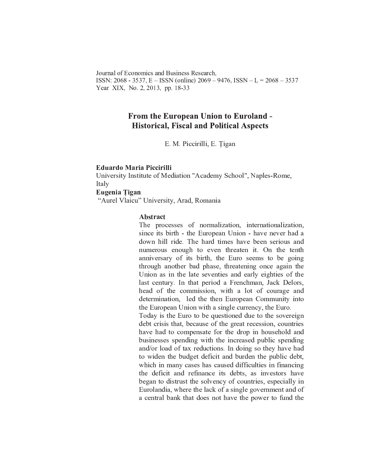Journal of Economics and Business Research. ISSN: 2068 - 3537, E - ISSN (online) 2069 - 9476, ISSN - L = 2068 - 3537 Year XIX, No. 2, 2013, pp. 18-33

# **From the European Union to Euroland -Historical, Fiscal and Political Aspects**

E. M. Piccirilli, E. Tigan

### **Eduardo Maria Piccirilli**

University Institute of Mediation "Academy School", Naples-Rome, Italy

# Eugenia Tigan

"Aurel Vlaicu" University, Arad, Romania

### Abstract

The processes of normalization, internationalization, since its birth - the European Union - have never had a down hill ride. The hard times have been serious and numerous enough to even threaten it. On the tenth anniversary of its birth, the Euro seems to be going through another bad phase, threatening once again the Union as in the late seventies and early eighties of the last century. In that period a Frenchman, Jack Delors, head of the commission, with a lot of courage and determination, led the then European Community into the European Union with a single currency, the Euro. Today is the Euro to be questioned due to the sovereign debt crisis that, because of the great recession, countries have had to compensate for the drop in household and businesses spending with the increased public spending

and/or load of tax reductions. In doing so they have had to widen the budget deficit and burden the public debt, which in many cases has caused difficulties in financing the deficit and refinance its debts, as investors have began to distrust the solvency of countries, especially in Eurolandia, where the lack of a single government and of a central bank that does not have the power to fund the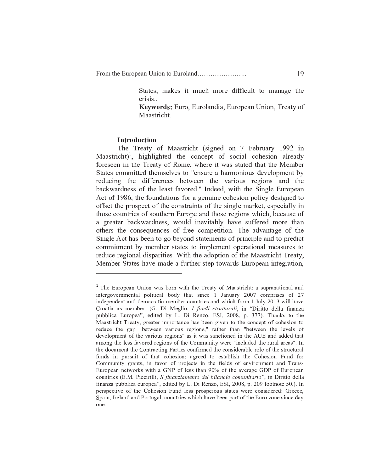States, makes it much more difficult to manage the crisis..

Keywords: Euro, Eurolandia, European Union, Treaty of Maastricht.

### **Introduction**

The Treaty of Maastricht (signed on 7 February 1992 in Maastricht)<sup>1</sup>, highlighted the concept of social cohesion already foreseen in the Treaty of Rome, where it was stated that the Member States committed themselves to "ensure a harmonious development by reducing the differences between the various regions and the backwardness of the least favored." Indeed, with the Single European Act of 1986, the foundations for a genuine cohesion policy designed to offset the prospect of the constraints of the single market, especially in those countries of southern Europe and those regions which, because of a greater backwardness, would inevitably have suffered more than others the consequences of free competition. The advantage of the Single Act has been to go beyond statements of principle and to predict commitment by member states to implement operational measures to reduce regional disparities. With the adoption of the Maastricht Treaty, Member States have made a further step towards European integration,

<sup>&</sup>lt;sup>1</sup> The European Union was born with the Treaty of Maastricht: a supranational and intergovernmental political body that since 1 January 2007 comprises of 27 independent and democratic member countries and which from 1 July 2013 will have Croatia as member. (G. Di Meglio, I fondi strutturali, in "Diritto della finanza pubblica Europea", edited by L. Di Renzo, ESI, 2008, p. 377). Thanks to the Maastricht Treaty, greater importance has been given to the concept of cohesion to reduce the gap "between various regions," rather than "between the levels of development of the various regions" as it was sanctioned in the AUE and added that among the less favored regions of the Community were "included the rural areas". In the document the Contracting Parties confirmed the considerable role of the structural funds in pursuit of that cohesion; agreed to establish the Cohesion Fund for Community grants, in favor of projects in the fields of environment and Trans-European networks with a GNP of less than 90% of the average GDP of European countries (E.M. Piccirilli, Il finanziamento del bilancio comunitario", in Diritto della finanza pubblica europea", edited by L. Di Renzo, ESI, 2008, p. 209 footnote 50.). In perspective of the Cohesion Fund less prosperous states were considered: Greece, Spain, Ireland and Portugal, countries which have been part of the Euro zone since day one.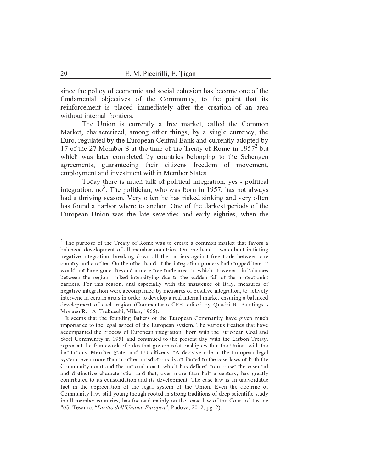since the policy of economic and social cohesion has become one of the fundamental objectives of the Community, to the point that its reinforcement is placed immediately after the creation of an area without internal frontiers.

The Union is currently a free market, called the Common Market, characterized, among other things, by a single currency, the Euro, regulated by the European Central Bank and currently adopted by 17 of the 27 Member S at the time of the Treaty of Rome in 1957<sup>2</sup> but which was later completed by countries belonging to the Schengen agreements, guaranteeing their citizens freedom of movement, employment and investment within Member States.

Today there is much talk of political integration, yes - political integration, no<sup>3</sup>. The politician, who was born in 1957, has not always had a thriving season. Very often he has risked sinking and very often has found a harbor where to anchor. One of the darkest periods of the European Union was the late seventies and early eighties, when the

<sup>&</sup>lt;sup>2</sup> The purpose of the Treaty of Rome was to create a common market that favors a balanced development of all member countries. On one hand it was about initiating negative integration, breaking down all the barriers against free trade between one country and another. On the other hand, if the integration process had stopped here, it would not have gone beyond a mere free trade area, in which, however, imbalances between the regions risked intensifying due to the sudden fall of the protectionist barriers. For this reason, and especially with the insistence of Italy, measures of negative integration were accompanied by measures of positive integration, to actively intervene in certain areas in order to develop a real internal market ensuring a balanced development of each region (Commentario CEE, edited by Quadri R. Paintings -Monaco R. - A. Trabucchi, Milan, 1965).

<sup>&</sup>lt;sup>3</sup> It seems that the founding fathers of the European Community have given much importance to the legal aspect of the European system. The various treaties that have accompanied the process of European integration born with the European Coal and Steel Community in 1951 and continued to the present day with the Lisbon Treaty, represent the framework of rules that govern relationships within the Union, with the institutions, Member States and EU citizens. "A decisive role in the European legal system, even more than in other jurisdictions, is attributed to the case laws of both the Community court and the national court, which has defined from onset the essential and distinctive characteristics and that, over more than half a century, has greatly contributed to its consolidation and its development. The case law is an unavoidable fact in the appreciation of the legal system of the Union. Even the doctrine of Community law, still young though rooted in strong traditions of deep scientific study in all member countries, has focused mainly on the case law of the Court of Justice "(G. Tesauro, "Diritto dell'Unione Europea", Padova, 2012, pg. 2).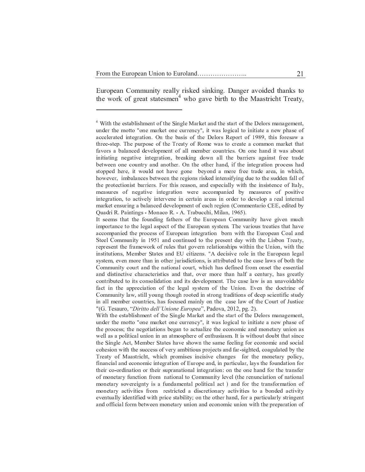European Community really risked sinking. Danger avoided thanks to the work of great statesmen<sup>4</sup> who gave birth to the Maastricht Treaty,

<sup>&</sup>lt;sup>4</sup> With the establishment of the Single Market and the start of the Delors management, under the motto "one market one currency", it was logical to initiate a new phase of accelerated integration. On the basis of the Delors Report of 1989, this foresaw a three-step. The purpose of the Treaty of Rome was to create a common market that favors a balanced development of all member countries. On one hand it was about initiating negative integration, breaking down all the barriers against free trade between one country and another. On the other hand, if the integration process had stopped here, it would not have gone beyond a mere free trade area, in which, however, imbalances between the regions risked intensifying due to the sudden fall of the protectionist barriers. For this reason, and especially with the insistence of Italy, measures of negative integration were accompanied by measures of positive integration, to actively intervene in certain areas in order to develop a real internal market ensuring a balanced development of each region (Commentario CEE, edited by Quadri R. Paintings - Monaco R. - A. Trabucchi, Milan, 1965).

It seems that the founding fathers of the European Community have given much importance to the legal aspect of the European system. The various treaties that have accompanied the process of European integration born with the European Coal and Steel Community in 1951 and continued to the present day with the Lisbon Treaty, represent the framework of rules that govern relationships within the Union, with the institutions, Member States and EU citizens. "A decisive role in the European legal system, even more than in other jurisdictions, is attributed to the case laws of both the Community court and the national court, which has defined from onset the essential and distinctive characteristics and that, over more than half a century, has greatly contributed to its consolidation and its development. The case law is an unavoidable fact in the appreciation of the legal system of the Union. Even the doctrine of Community law, still young though rooted in strong traditions of deep scientific study in all member countries, has focused mainly on the case law of the Court of Justice "(G. Tesauro, "Diritto dell'Unione Europea", Padova, 2012, pg. 2).

With the establishment of the Single Market and the start of the Delors management, under the motto "one market one currency", it was logical to initiate a new phase of the process; the negotiations began to actualize the economic and monetary union as well as a political union in an atmosphere of enthusiasm. It is without doubt that since the Single Act, Member States have shown the same feeling for economic and social cohesion with the success of very ambitious projects and far-sighted, coagulated by the Treaty of Maastricht, which promises incisive changes for the monetary policy, financial and economic integration of Europe and, in particular, lays the foundation for their co-ordination or their supranational integration: on the one hand for the transfer of monetary function from national to Community level (the renunciation of national monetary sovereignty is a fundamental political act) and for the transformation of monetary activities from restricted a discretionary activities to a bonded activity eventually identified with price stability; on the other hand, for a particularly stringent and official form between monetary union and economic union with the preparation of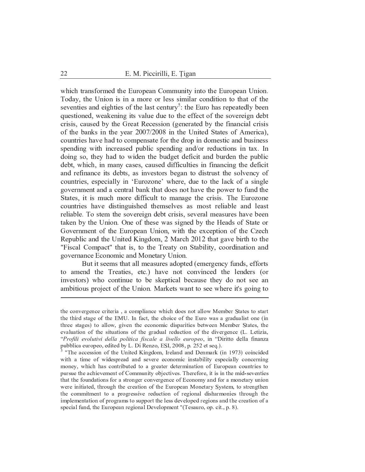which transformed the European Community into the European Union. Today, the Union is in a more or less similar condition to that of the seventies and eighties of the last century<sup>5</sup>: the Euro has repeatedly been questioned, weakening its value due to the effect of the sovereign debt crisis, caused by the Great Recession (generated by the financial crisis of the banks in the year 2007/2008 in the United States of America), countries have had to compensate for the drop in domestic and business spending with increased public spending and/or reductions in tax. In doing so, they had to widen the budget deficit and burden the public debt, which, in many cases, caused difficulties in financing the deficit and refinance its debts, as investors began to distrust the solvency of countries, especially in 'Eurozone' where, due to the lack of a single government and a central bank that does not have the power to fund the States, it is much more difficult to manage the crisis. The Eurozone countries have distinguished themselves as most reliable and least reliable. To stem the sovereign debt crisis, several measures have been taken by the Union. One of these was signed by the Heads of State or Government of the European Union, with the exception of the Czech Republic and the United Kingdom, 2 March 2012 that gave birth to the "Fiscal Compact" that is, to the Treaty on Stability, coordination and governance Economic and Monetary Union.

But it seems that all measures adopted (emergency funds, efforts to amend the Treaties, etc.) have not convinced the lenders (or investors) who continue to be skeptical because they do not see an ambitious project of the Union. Markets want to see where it's going to

the convergence criteria, a compliance which does not allow Member States to start the third stage of the EMU. In fact, the choice of the Euro was a gradualist one (in three stages) to allow, given the economic disparities between Member States, the evaluation of the situations of the gradual reduction of the divergence (L. Letizia, "Profili evolutivi della politica fiscale a livello europeo, in "Diritto della finanza pubblica europeo, edited by L. Di Renzo, ESI, 2008, p. 252 et seq.).

<sup>&</sup>quot;The accession of the United Kingdom, Ireland and Denmark (in 1973) coincided with a time of widespread and severe economic instability especially concerning money, which has contributed to a greater determination of European countries to pursue the achievement of Community objectives. Therefore, it is in the mid-seventies that the foundations for a stronger convergence of Economy and for a monetary union were initiated, through the creation of the European Monetary System, to strengthen the commitment to a progressive reduction of regional disharmonies through the implementation of programs to support the less developed regions and the creation of a special fund, the European regional Development "(Tesauro, op. cit., p. 8).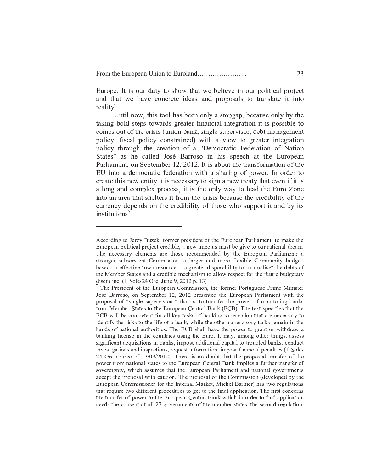Europe. It is our duty to show that we believe in our political project and that we have concrete ideas and proposals to translate it into reality<sup>6</sup>.

Until now, this tool has been only a stopgap, because only by the taking bold steps towards greater financial integration it is possible to comes out of the crisis (union bank, single supervisor, debt management policy, fiscal policy constrained) with a view to greater integration policy through the creation of a "Democratic Federation of Nation States" as he called Josè Barroso in his speech at the European Parliament, on September 12, 2012. It is about the transformation of the EU into a democratic federation with a sharing of power. In order to create this new entity it is necessary to sign a new treaty that even if it is a long and complex process, it is the only way to lead the Euro Zone into an area that shelters it from the crisis because the credibility of the currency depends on the credibility of those who support it and by its institutions<sup>7</sup>.

According to Jerzy Buzek, former president of the European Parliament, to make the European political project credible, a new impetus must be give to our rational dream. The necessary elements are those recommended by the European Parliament: a stronger subservient Commission, a larger and more flexible Community budget, based on effective "own resources", a greater disposability to "mutualise" the debts of the Member States and a credible mechanism to allow respect for the future budgetary discipline. (Il Sole-24 Ore June 9, 2012 p. 13)

 $\frac{7}{7}$  The President of the European Commission, the former Portuguese Prime Minister Jose Barroso, on September 12, 2012 presented the European Parliament with the proposal of "single supervision " that is, to transfer the power of monitoring banks from Member States to the European Central Bank (ECB). The text specifies that the ECB will be competent for all key tasks of banking supervision that are necessary to identify the risks to the life of a bank, while the other supervisory tasks remain in the hands of national authorities. The ECB shall have the power to grant or withdraw a banking license in the countries using the Euro. It may, among other things, assess significant acquisitions in banks, impose additional capital to troubled banks, conduct investigations and inspections, request information, impose financial penalties (Il Sole-24 Ore source of 13/09/2012). There is no doubt that the proposed transfer of the power from national states to the European Central Bank implies a further transfer of sovereignty, which assumes that the European Parliament and national governments accept the proposal with caution. The proposal of the Commission (developed by the European Commissioner for the Internal Market, Michel Barnier) has two regulations that require two different procedures to get to the final application. The first concerns the transfer of power to the European Central Bank which in order to find application needs the consent of all 27 governments of the member states, the second regulation,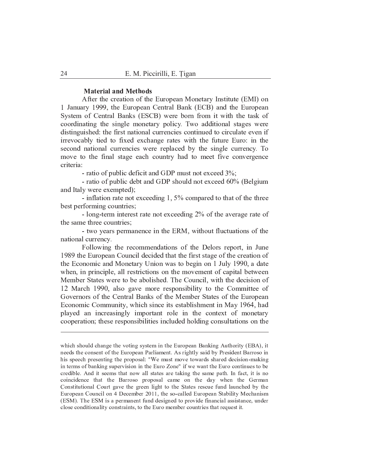#### **Material and Methods**

After the creation of the European Monetary Institute (EMI) on 1 January 1999, the European Central Bank (ECB) and the European System of Central Banks (ESCB) were born from it with the task of coordinating the single monetary policy. Two additional stages were distinguished: the first national currencies continued to circulate even if irrevocably tied to fixed exchange rates with the future Euro: in the second national currencies were replaced by the single currency. To move to the final stage each country had to meet five convergence criteria:

- ratio of public deficit and GDP must not exceed 3%;

- ratio of public debt and GDP should not exceed 60% (Belgium and Italy were exempted);

- inflation rate not exceeding 1,  $5\%$  compared to that of the three best performing countries;

- long-term interest rate not exceeding 2% of the average rate of the same three countries;

- two years permanence in the ERM, without fluctuations of the national currency.

Following the recommendations of the Delors report, in June 1989 the European Council decided that the first stage of the creation of the Economic and Monetary Union was to begin on 1 July 1990, a date when, in principle, all restrictions on the movement of capital between Member States were to be abolished. The Council, with the decision of 12 March 1990, also gave more responsibility to the Committee of Governors of the Central Banks of the Member States of the European Economic Community, which since its establishment in May 1964, had played an increasingly important role in the context of monetary cooperation; these responsibilities included holding consultations on the

which should change the voting system in the European Banking Authority (EBA), it needs the consent of the European Parliament. As rightly said by President Barroso in his speech presenting the proposal: "We must move towards shared decision-making in terms of banking supervision in the Euro Zone" if we want the Euro continues to be credible. And it seems that now all states are taking the same path. In fact, it is no coincidence that the Barroso proposal came on the day when the German Constitutional Court gave the green light to the States rescue fund launched by the European Council on 4 December 2011, the so-called European Stability Mechanism (ESM). The ESM is a permanent fund designed to provide financial assistance, under close conditionality constraints, to the Euro member countries that request it.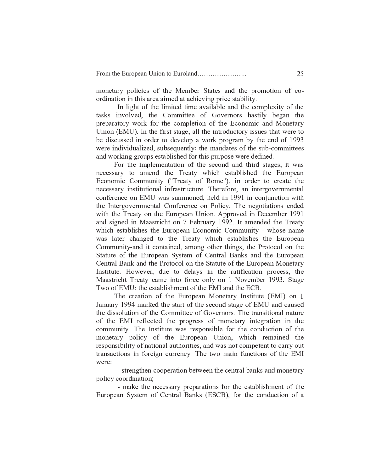monetary policies of the Member States and the promotion of coordination in this area aimed at achieving price stability.

In light of the limited time available and the complexity of the tasks involved, the Committee of Governors hastily began the preparatory work for the completion of the Economic and Monetary Union (EMU). In the first stage, all the introductory issues that were to be discussed in order to develop a work program by the end of 1993 were individualized, subsequently; the mandates of the sub-committees and working groups established for this purpose were defined.

For the implementation of the second and third stages, it was necessary to amend the Treaty which established the European Economic Community ("Treaty of Rome"), in order to create the necessary institutional infrastructure. Therefore, an intergovernmental conference on EMU was summoned, held in 1991 in conjunction with the Intergovernmental Conference on Policy. The negotiations ended with the Treaty on the European Union. Approved in December 1991 and signed in Maastricht on 7 February 1992. It amended the Treaty which establishes the European Economic Community - whose name was later changed to the Treaty which establishes the European Community-and it contained, among other things, the Protocol on the Statute of the European System of Central Banks and the European Central Bank and the Protocol on the Statute of the European Monetary Institute. However, due to delays in the ratification process, the Maastricht Treaty came into force only on 1 November 1993. Stage Two of EMU: the establishment of the EMI and the ECB.

The creation of the European Monetary Institute (EMI) on 1 January 1994 marked the start of the second stage of EMU and caused the dissolution of the Committee of Governors. The transitional nature of the EMI reflected the progress of monetary integration in the community. The Institute was responsible for the conduction of the monetary policy of the European Union, which remained the responsibility of national authorities, and was not competent to carry out transactions in foreign currency. The two main functions of the EMI were:

- strengthen cooperation between the central banks and monetary policy coordination;

- make the necessary preparations for the establishment of the European System of Central Banks (ESCB), for the conduction of a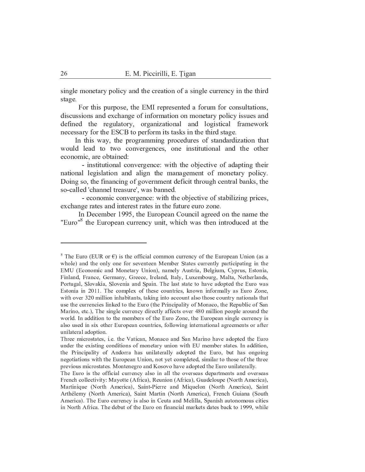single monetary policy and the creation of a single currency in the third stage.

For this purpose, the EMI represented a forum for consultations, discussions and exchange of information on monetary policy issues and defined the regulatory, organizational and logistical framework necessary for the ESCB to perform its tasks in the third stage.

In this way, the programming procedures of standardization that would lead to two convergences, one institutional and the other economic, are obtained:

- institutional convergence: with the objective of adapting their national legislation and align the management of monetary policy. Doing so, the financing of government deficit through central banks, the so-called 'channel treasure', was banned.

- economic convergence: with the objective of stabilizing prices, exchange rates and interest rates in the future euro zone.

In December 1995, the European Council agreed on the name the "Euro"<sup>8</sup> the European currency unit, which was then introduced at the

<sup>&</sup>lt;sup>8</sup> The Euro (EUR or  $\epsilon$ ) is the official common currency of the European Union (as a whole) and the only one for seventeen Member States currently participating in the EMU (Economic and Monetary Union), namely Austria, Belgium, Cyprus, Estonia, Finland, France, Germany, Greece, Ireland, Italy, Luxembourg, Malta, Netherlands, Portugal, Slovakia, Slovenia and Spain. The last state to have adopted the Euro was Estonia in 2011. The complex of these countries, known informally as Euro Zone, with over 320 million inhabitants, taking into account also those country nationals that use the currencies linked to the Euro (the Principality of Monaco, the Republic of San Marino, etc.), The single currency directly affects over 480 million people around the world. In addition to the members of the Euro Zone, the European single currency is also used in six other European countries, following international agreements or after unilateral adoption.

Three microstates, i.e. the Vatican, Monaco and San Marino have adopted the Euro under the existing conditions of monetary union with EU member states. In addition, the Principality of Andorra has unilaterally adopted the Euro, but has ongoing negotiations with the European Union, not yet completed, similar to those of the three previous microstates. Montenegro and Kosovo have adopted the Euro unilaterally.

The Euro is the official currency also in all the overseas departments and overseas French collectivity: Mayotte (Africa), Reunion (Africa), Guadeloupe (North America), Martinique (North America), Saint-Pierre and Miquelon (North America), Saint Arthélemy (North America), Saint Martin (North America), French Guiana (South America). The Euro currency is also in Ceuta and Melilla, Spanish autonomous cities in North Africa. The debut of the Euro on financial markets dates back to 1999, while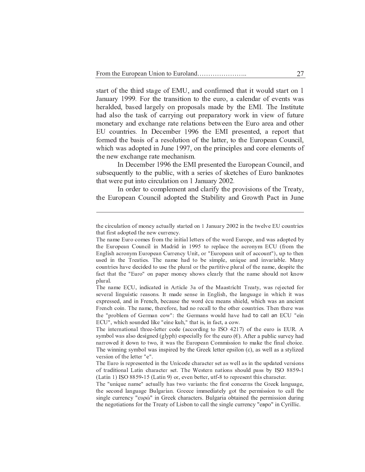start of the third stage of EMU, and confirmed that it would start on January 1999. For the transition to the euro, a calendar of events wa heralded, based largely on proposals made by the EMI. The Institute had also the task of carrying out preparatory work in view of future monetary and exchange rate relations between the Euro area and other EU countries. In December 1996 the EMI presented, a report tha formed the basis of a resolution of the latter, to the European Council, which was adopted in June 1997, on the principles and core elements o the new exchange rate mechanism.

In December 1996 the EMI presented the European Council, an subsequently to the public, with a series of sketches of Euro banknotes that were put into circulation on 1 January 2002.

In order to complement and clarify the provisions of the Treaty, the European Council adopted the Stability and Growth Pact in June

the circulation of money actually started on 1 January 2002 in the twelve EU countries that first adopted the new currency.

The name Euro comes from the initial letters of the word Europe, and was adopted by  $\overline{z}$   $\overline{z}$   $\overline{z}$   $\overline{z}$   $\overline{z}$   $\overline{z}$   $\overline{z}$   $\overline{z}$   $\overline{z}$   $\overline{z}$   $\overline{z}$   $\overline{z}$   $\overline{z}$   $\overline{z}$   $\overline{z}$   $\overline{z}$   $\overline{z}$   $\overline{z}$   $\overline{z}$   $\overline{z}$   $\overline{z}$   $\overline{z}$   $\overline{z}$   $\overline{z}$   $\overline{$  $\equiv$   $\frac{1}{2}$   $\equiv$   $\frac{1}{2}$   $\equiv$   $\frac{1}{2}$   $\equiv$   $\frac{1}{2}$   $\equiv$   $\frac{1}{2}$   $\equiv$   $\frac{1}{2}$   $\equiv$   $\frac{1}{2}$   $\equiv$   $\frac{1}{2}$   $\equiv$   $\frac{1}{2}$   $\equiv$   $\frac{1}{2}$   $\equiv$   $\frac{1}{2}$   $\equiv$   $\frac{1}{2}$   $\equiv$   $\frac{1}{2}$   $\equiv$   $\frac{1}{2}$   $\equiv$   $\frac{1}{$ used in the Treaties. The name had to be simple, unique and invariable. Many countries have decided to use the plural or the partitive plural of the name, despite the fact that the "Euro" on paper money shows clearly that the name should not know plural.

 $\mathbf{r}$   $\mathbf{r}$   $\mathbf{r}$   $\mathbf{r}$   $\mathbf{r}$   $\mathbf{r}$   $\mathbf{r}$   $\mathbf{r}$   $\mathbf{r}$   $\mathbf{r}$   $\mathbf{r}$   $\mathbf{r}$   $\mathbf{r}$   $\mathbf{r}$   $\mathbf{r}$   $\mathbf{r}$   $\mathbf{r}$   $\mathbf{r}$   $\mathbf{r}$   $\mathbf{r}$   $\mathbf{r}$   $\mathbf{r}$   $\mathbf{r}$   $\mathbf{r}$   $\mathbf{$  $s$  several linguistic reasons. It made sense in English, the language in which it was expressed, and in French, because the word écu means shield, which was an ancient French coin. The name, therefore, had no recall to the other countries. Then there was د ساعت ساعت الله عليه الله عليه الله عليه الله عليه الله عليه الله عليه الله عليه الله عليه الله عليه الله عليه ا <sup>|</sup> <sup>¬</sup> <sup>z</sup> <sup>z</sup> } { « { <sup>¬</sup> { { « } <sup>z</sup> <sup>¬</sup> <sup>z</sup>

 $\mathbf{m}$   $\mathbf{r}$   $\mathbf{r}$   $\mathbf{r}$   $\mathbf{r}$   $\mathbf{r}$   $\mathbf{r}$   $\mathbf{r}$   $\mathbf{r}$   $\mathbf{r}$   $\mathbf{r}$   $\mathbf{r}$   $\mathbf{r}$   $\mathbf{r}$   $\mathbf{r}$   $\mathbf{r}$   $\mathbf{r}$   $\mathbf{r}$   $\mathbf{r}$   $\mathbf{r}$   $\mathbf{r}$   $\mathbf{r}$   $\mathbf{r}$   $\mathbf{r}$   $\mathbf{$ symbol was also designed (glyph) especially for the euro  $(\epsilon)$ . After a public survey had narrowed it down to two, it was the European Commission to make the final choice. The winning symbol was inspired by the Greek letter epsilon  $(\epsilon)$ , as well as a stylized version of the letter "e".

The Euro is represented in the Unicode character set as well as in the updated versions  $\overline{a}$  and  $\overline{a}$  is the  $\overline{a}$  such that  $\overline{a}$  is the second  $\mathcal{L} = \mathcal{L} \mathcal{L} = \mathcal{L} \mathcal{L} \mathcal{L} = \mathcal{L} \mathcal{L} \mathcal{L} \mathcal{L} = \mathcal{L} \mathcal{L} \mathcal{L} \mathcal{L} = \mathcal{L} \mathcal{L} \mathcal{L} \mathcal{L} \mathcal{L} \mathcal{L} \mathcal{L} = \mathcal{L} \mathcal{L} \mathcal{L} \mathcal{L} \mathcal{L} \mathcal{L} \mathcal{L} \mathcal{L} \mathcal{L} \mathcal{L} \mathcal{L} \mathcal{L} \mathcal{L} \mathcal{L} \mathcal{$ 

The "unique name" actually has two variants: the first concerns the Greek language, the second language Bulgarian. Greece immediately got the permission to call the single currency "ευρώ" in Greek characters. Bulgaria obtained the permission during the negotiations for the Treaty of Lisbon to call the single currency "евро" in Cyrillic.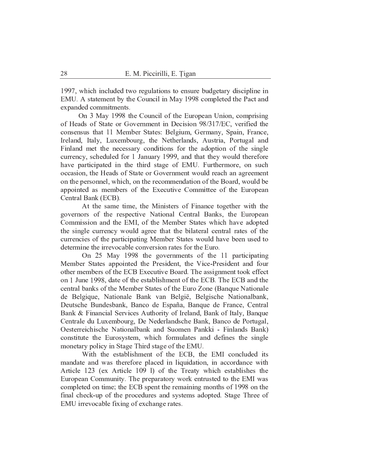1997, which included two regulations to ensure budgetary discipline in EMU. A statement by the Council in May 1998 completed the Pact and expanded commitments.

On 3 May 1998 the Council of the European Union, comprising of Heads of State or Government in Decision 98/317/EC, verified the consensus that 11 Member States: Belgium, Germany, Spain, France, Ireland, Italy, Luxembourg, the Netherlands, Austria, Portugal and Finland met the necessary conditions for the adoption of the single currency, scheduled for 1 January 1999, and that they would therefore have participated in the third stage of EMU. Furthermore, on such occasion, the Heads of State or Government would reach an agreement on the personnel, which, on the recommendation of the Board, would be appointed as members of the Executive Committee of the European Central Bank (ECB).

At the same time, the Ministers of Finance together with the governors of the respective National Central Banks, the European Commission and the EMI, of the Member States which have adopted the single currency would agree that the bilateral central rates of the currencies of the participating Member States would have been used to determine the irrevocable conversion rates for the Euro.

On 25 May 1998 the governments of the 11 participating Member States appointed the President, the Vice-President and four other members of the ECB Executive Board. The assignment took effect on 1 June 1998, date of the establishment of the ECB. The ECB and the central banks of the Member States of the Euro Zone (Banque Nationale de Belgique, Nationale Bank van België, Belgische Nationalbank, Deutsche Bundesbank, Banco de España, Banque de France, Central Bank & Financial Services Authority of Ireland, Bank of Italy, Banque Centrale du Luxembourg, De Nederlandsche Bank, Banco de Portugal, Oesterreichische Nationalbank and Suomen Pankki - Finlands Bank) constitute the Eurosystem, which formulates and defines the single monetary policy in Stage Third stage of the EMU.

With the establishment of the ECB, the EMI concluded its mandate and was therefore placed in liquidation, in accordance with Article 123 (ex Article 109 l) of the Treaty which establishes the European Community. The preparatory work entrusted to the EMI was completed on time; the ECB spent the remaining months of 1998 on the final check-up of the procedures and systems adopted. Stage Three of EMU irrevocable fixing of exchange rates.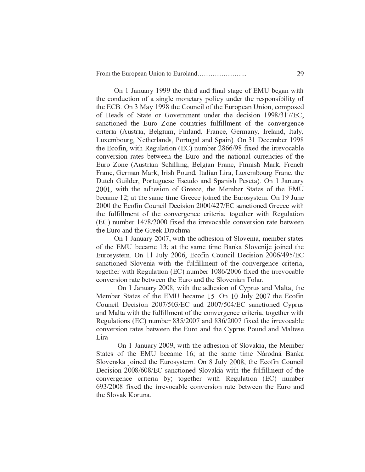On 1 January 1999 the third and final stage of EMU began with the conduction of a single monetary policy under the responsibility of the ECB. On 3 May 1998 the Council of the European Union, composed of Heads of State or Government under the decision 1998/317/EC, sanctioned the Euro Zone countries fulfillment of the convergence criteria (Austria, Belgium, Finland, France, Germany, Ireland, Italy, Luxembourg, Netherlands, Portugal and Spain). On 31 December 1998 the Ecofin, with Regulation (EC) number 2866/98 fixed the irrevocable conversion rates between the Euro and the national currencies of the Euro Zone (Austrian Schilling, Belgian Franc, Finnish Mark, French Franc, German Mark, Irish Pound, Italian Lira, Luxembourg Franc, the Dutch Guilder, Portuguese Escudo and Spanish Peseta). On 1 January 2001, with the adhesion of Greece, the Member States of the EMU became 12; at the same time Greece joined the Eurosystem. On 19 June 2000 the Ecofin Council Decision 2000/427/EC sanctioned Greece with the fulfillment of the convergence criteria; together with Regulation (EC) number 1478/2000 fixed the irrevocable conversion rate between the Euro and the Greek Drachma

On 1 January 2007, with the adhesion of Slovenia, member states of the EMU became 13; at the same time Banka Slovenije joined the Eurosystem. On 11 July 2006, Ecofin Council Decision 2006/495/EC sanctioned Slovenia with the fulfillment of the convergence criteria, together with Regulation (EC) number 1086/2006 fixed the irrevocable conversion rate between the Euro and the Slovenian Tolar.

On 1 January 2008, with the adhesion of Cyprus and Malta, the Member States of the EMU became 15. On 10 July 2007 the Ecofin Council Decision 2007/503/EC and 2007/504/EC sanctioned Cyprus and Malta with the fulfillment of the convergence criteria, together with Regulations (EC) number 835/2007 and 836/2007 fixed the irrevocable conversion rates between the Euro and the Cyprus Pound and Maltese Lira

On 1 January 2009, with the adhesion of Slovakia, the Member States of the EMU became 16; at the same time Národná Banka Slovenska joined the Eurosystem. On 8 July 2008, the Ecofin Council Decision 2008/608/EC sanctioned Slovakia with the fulfillment of the convergence criteria by; together with Regulation (EC) number 693/2008 fixed the irrevocable conversion rate between the Euro and the Slovak Koruna.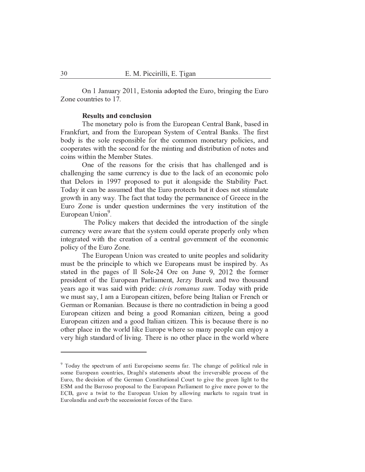On 1 January 2011, Estonia adopted the Euro, bringing the Euro Zone countries to 17.

#### **Results and conclusion**

The monetary polo is from the European Central Bank, based in Frankfurt, and from the European System of Central Banks. The first body is the sole responsible for the common monetary policies, and cooperates with the second for the minting and distribution of notes and coins within the Member States.

One of the reasons for the crisis that has challenged and is challenging the same currency is due to the lack of an economic polo that Delors in 1997 proposed to put it alongside the Stability Pact. Today it can be assumed that the Euro protects but it does not stimulate growth in any way. The fact that today the permanence of Greece in the Euro Zone is under question undermines the very institution of the European Union<sup>9</sup>.

The Policy makers that decided the introduction of the single currency were aware that the system could operate properly only when integrated with the creation of a central government of the economic policy of the Euro Zone.

The European Union was created to unite peoples and solidarity must be the principle to which we Europeans must be inspired by. As stated in the pages of Il Sole-24 Ore on June 9, 2012 the former president of the European Parliament, Jerzy Burek and two thousand years ago it was said with pride: civis romanus sum. Today with pride we must say, I am a European citizen, before being Italian or French or German or Romanian. Because is there no contradiction in being a good European citizen and being a good Romanian citizen, being a good European citizen and a good Italian citizen. This is because there is no other place in the world like Europe where so many people can enjoy a very high standard of living. There is no other place in the world where

<sup>&</sup>lt;sup>9</sup> Today the spectrum of anti Europeismo seems far. The change of political rule in some European countries, Draghi's statements about the irreversible process of the Euro, the decision of the German Constitutional Court to give the green light to the ESM and the Barroso proposal to the European Parliament to give more power to the ECB, gave a twist to the European Union by allowing markets to regain trust in Eurolandia and curb the secessionist forces of the Euro.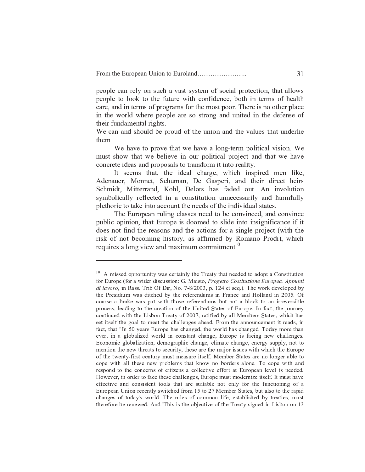people can rely on such a vast system of social protection, that allows people to look to the future with confidence, both in terms of health care, and in terms of programs for the most poor. There is no other place in the world where people are so strong and united in the defense of their fundamental rights.

We can and should be proud of the union and the values that underlie them

We have to prove that we have a long-term political vision. We must show that we believe in our political project and that we have concrete ideas and proposals to transform it into reality.

It seems that, the ideal charge, which inspired men like, Adenauer, Monnet, Schuman, De Gasperi, and their direct heirs Schmidt, Mitterrand, Kohl, Delors has faded out. An involution symbolically reflected in a constitution unnecessarily and harmfully plethoric to take into account the needs of the individual states.

The European ruling classes need to be convinced, and convince public opinion, that Europe is doomed to slide into insignificance if it does not find the reasons and the actions for a single project (with the risk of not becoming history, as affirmed by Romano Prodi), which requires a long view and maximum commitment<sup>10</sup>

 ${10}$  , and the set of the set of the set of the set of the set of the set of the set of the set of the set of the set of the set of the set of the set of the set of the set of the set of the set of the set of the set of <sup>~</sup> <sup>|</sup> } <sup>~</sup> { <sup>~</sup> { <sup>~</sup> } <sup>Ø</sup> § ¡ <sup>¹</sup> ¦ ¦ ¡ ¡ ¥ ¦ ¤ ¦ ¨ · ¤ ¡ ¢ <sup>¹</sup> ¨ § ¡ <sup>Ú</sup> <sup>¹</sup> ©  <sup>Ú</sup> <sup>Ú</sup> ¨ ¢ ¦ ¤ di lavoro, in Rass. Trib Of Dir, No. 7-8/2003, p. 124 et seq.). The work developed by the Presidium was ditched by the referendums in France and Holland in 2005. Of course a brake was put with those referendums but not a block to an irreversible  $\bf{r}$   $\bf{r}$   $\bf{r}$   $\bf{r}$   $\bf{r}$   $\bf{r}$   $\bf{r}$   $\bf{r}$   $\bf{r}$   $\bf{r}$   $\bf{r}$   $\bf{r}$   $\bf{r}$   $\bf{r}$   $\bf{r}$   $\bf{r}$   $\bf{r}$   $\bf{r}$   $\bf{r}$   $\bf{r}$   $\bf{r}$   $\bf{r}$   $\bf{r}$   $\bf{r}$   $\bf{r}$   $\bf{r}$   $\bf{r}$   $\bf{r$  $\frac{1}{2}$   $\frac{1}{2}$   $\frac{1}{2}$   $\frac{1}{2}$   $\frac{1}{2}$   $\frac{1}{2}$   $\frac{1}{2}$   $\frac{1}{2}$   $\frac{1}{2}$   $\frac{1}{2}$   $\frac{1}{2}$   $\frac{1}{2}$   $\frac{1}{2}$   $\frac{1}{2}$   $\frac{1}{2}$   $\frac{1}{2}$   $\frac{1}{2}$   $\frac{1}{2}$   $\frac{1}{2}$   $\frac{1}{2}$   $\frac{1}{2}$   $\frac{1}{2}$  set itself the goal to meet the challenges ahead. From the announcement it reads, in fact, that "In 50 years Europe has changed, the world has changed. Today more than  ${ \rm e}$  ever, in a globalized world in constant change. Europe is facing new challenges. Economic globalization, demographic change, climate change, energy supply, not to mention the new threats to security, these are the major issues with which the Europe <sup>z</sup> { { <sup>³</sup> <sup>~</sup> { } <sup>~</sup> } { } <sup>~</sup> { { { { <sup>~</sup> <sup>½</sup> { <sup>~</sup> { { <sup>~</sup> { cope with all these new problems that know no borders alone. To cope with and respond to the concerns of citizens a collective effort at European level is needed. However, in order to face these challenges, Europe must modernize itself. It must have  $\epsilon$  effective and consistent tools that are suitable not only for the functioning of a <sup>|</sup> } <sup>~</sup> { <sup>~</sup> { { <sup>z</sup> { <sup>~</sup> <sup>É</sup> { { <sup>~</sup> <sup>½</sup> { } <sup>z</sup> { <sup>~</sup> changes of today's world. The rules of common life, established by treaties, must therefore be renewed. And 'This is the objective of the Treaty signed in Lisbon on  $13$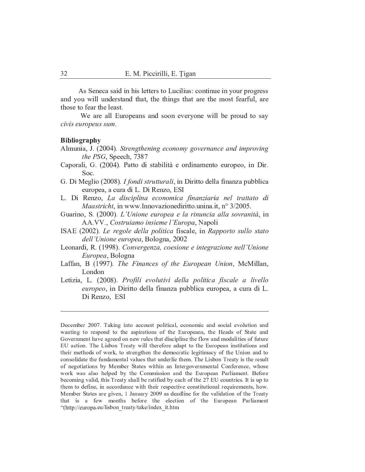As Seneca said in his letters to Lucilius: continue in your progress and you will understand that, the things that are the most fearful, are those to fear the least.

We are all Europeans and soon everyone will be proud to say civis europeus sum.

## **Bibliography**

Almunia, J. (2004). Strengthening economy governance and improving the PSG, Speech, 7387

- Caporali, G. (2004). Patto di stabilità e ordinamento europeo, in Dir. Soc.
- G. Di Meglio (2008). *I fondi strutturali*, in Diritto della finanza pubblica europea, a cura di L. Di Renzo, ESI
- L. Di Renzo, La disciplina economica finanziaria nel trattato di *Maastricht*, in www.Innovazionediritto.unina.it, n° 3/2005.
- Guarino, S. (2000). L'Unione europea e la rinuncia alla sovranità, in AA.VV., Costruiamo insieme l'Europa, Napoli
- ISAE (2002). Le regole della politica fiscale, in Rapporto sullo stato dell'Unione europea, Bologna, 2002
- Leonardi, R. (1998). Convergenza, coesione e integrazione nell'Unione Europea, Bologna
- Laffan, B (1997). The Finances of the European Union, McMillan, London
- Letizia, L. (2008). Profili evolutivi della politica fiscale a livello europeo, in Diritto della finanza pubblica europea, a cura di L. Di Renzo, ESI

December 2007. Taking into account political, economic and social evolution and wanting to respond to the aspirations of the Europeans, the Heads of State and Government have agreed on new rules that discipline the flow and modalities of future EU action. The Lisbon Treaty will therefore adapt to the European institutions and their methods of work, to strengthen the democratic legitimacy of the Union and to consolidate the fundamental values that underlie them. The Lisbon Treaty is the result of negotiations by Member States within an Intergovernmental Conference, whose work was also helped by the Commission and the European Parliament. Before becoming valid, this Treaty shall be ratified by each of the 27 EU countries. It is up to them to define, in accordance with their respective constitutional requirements, how. Member States are given, 1 January 2009 as deadline for the validation of the Treaty that is a few months before the election of the European Parliament "(http://europa.eu/lisbon treaty/take/index it.htm